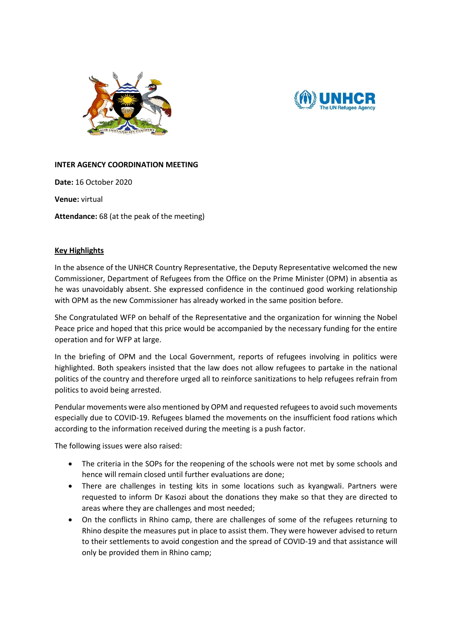



## **INTER AGENCY COORDINATION MEETING**

**Date:** 16 October 2020

**Venue:** virtual

**Attendance:** 68 (at the peak of the meeting)

## **Key Highlights**

In the absence of the UNHCR Country Representative, the Deputy Representative welcomed the new Commissioner, Department of Refugees from the Office on the Prime Minister (OPM) in absentia as he was unavoidably absent. She expressed confidence in the continued good working relationship with OPM as the new Commissioner has already worked in the same position before.

She Congratulated WFP on behalf of the Representative and the organization for winning the Nobel Peace price and hoped that this price would be accompanied by the necessary funding for the entire operation and for WFP at large.

In the briefing of OPM and the Local Government, reports of refugees involving in politics were highlighted. Both speakers insisted that the law does not allow refugees to partake in the national politics of the country and therefore urged all to reinforce sanitizations to help refugees refrain from politics to avoid being arrested.

Pendular movements were also mentioned by OPM and requested refugees to avoid such movements especially due to COVID-19. Refugees blamed the movements on the insufficient food rations which according to the information received during the meeting is a push factor.

The following issues were also raised:

- The criteria in the SOPs for the reopening of the schools were not met by some schools and hence will remain closed until further evaluations are done;
- There are challenges in testing kits in some locations such as kyangwali. Partners were requested to inform Dr Kasozi about the donations they make so that they are directed to areas where they are challenges and most needed;
- On the conflicts in Rhino camp, there are challenges of some of the refugees returning to Rhino despite the measures put in place to assist them. They were however advised to return to their settlements to avoid congestion and the spread of COVID-19 and that assistance will only be provided them in Rhino camp;